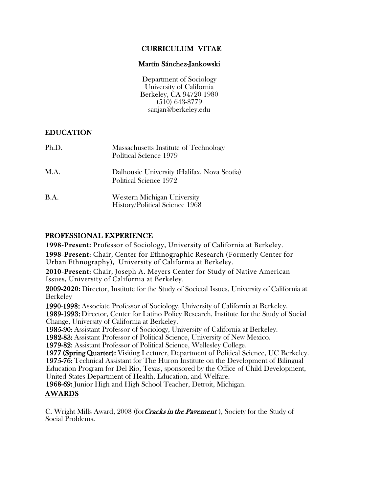# CURRICULUM VITAE

## Martín Sánchez-Jankowski

Department of Sociology University of California Berkeley, CA 94720-1980 (510) 643-8779 sanjan@berkeley.edu

## EDUCATION

| Ph.D.       | Massachusetts Institute of Technology<br>Political Science 1979             |
|-------------|-----------------------------------------------------------------------------|
| M.A.        | Dalhousie University (Halifax, Nova Scotia)<br>Political Science 1972       |
| <b>B.A.</b> | <b>Western Michigan University</b><br><b>History/Political Science 1968</b> |

## PROFESSIONAL EXPERIENCE

**1998-Present:** Professor of Sociology, University of California at Berkeley. **1998-Present:** Chair, Center for Ethnographic Research (Formerly Center for Urban Ethnography), University of California at Berkeley.

**2010-Present:** Chair, Joseph A. Meyers Center for Study of Native American Issues, University of California at Berkeley.

2009-**2020:** Director, Institute for the Study of Societal Issues, University of California at Berkeley

1990-1998: Associate Professor of Sociology, University of California at Berkeley. 1989-1993: Director, Center for Latino Policy Research, Institute for the Study of Social Change, University of California at Berkeley.

1985-90: Assistant Professor of Sociology, University of California at Berkeley.

1982-83: Assistant Professor of Political Science, University of New Mexico.

1979-82: Assistant Professor of Political Science, Wellesley College.

1977 (Spring Quarter): Visiting Lecturer, Department of Political Science, UC Berkeley. 1975-76: Technical Assistant for The Huron Institute on the Development of Bilingual Education Program for Del Rio, Texas, sponsored by the Office of Child Development, United States Department of Health, Education, and Welfare.

1968-69: Junior High and High School Teacher, Detroit, Michigan.

# AWARDS

C. Wright Mills Award, 2008 (for *Cracks in the Pavement*), Society for the Study of Social Problems.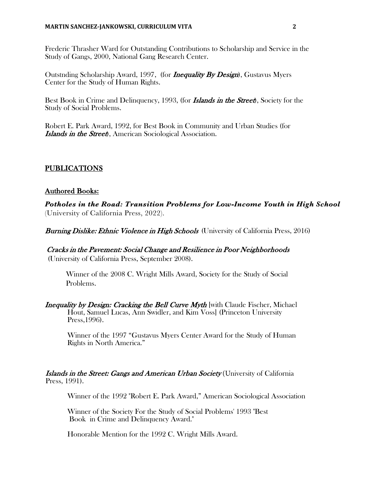Frederic Thrasher Ward for Outstanding Contributions to Scholarship and Service in the Study of Gangs, 2000, National Gang Research Center.

Outstnding Scholarship Award, 1997, (for *Inequality By Design*), Gustavus Myers Center for the Study of Human Rights.

Best Book in Crime and Delinquency, 1993, (for **Islands in the Street**), Society for the Study of Social Problems.

Robert E. Park Award, 1992, for Best Book in Community and Urban Studies (for **Islands in the Street**, American Sociological Association.

## PUBLICATIONS

## Authored Books:

*Potholes in the Road: Transition Problems for Low-Income Youth in High School* (University of California Press, 2022).

**Burning Dislike: Ethnic Violence in High Schools** (University of California Press, 2016)

Cracks in the Pavement: Social Change and Resilience in Poor Neighborhoods

(University of California Press, September 2008).

Winner of the 2008 C. Wright Mills Award, Society for the Study of Social Problems.

Inequality by Design: Cracking the Bell Curve Myth [with Claude Fischer, Michael] Hout, Samuel Lucas, Ann Swidler, and Kim Voss] (Princeton University Press,1996).

Winner of the 1997 "Gustavus Myers Center Award for the Study of Human Rights in North America."

## Islands in the Street: Gangs and American Urban Society (University of California Press, 1991).

Winner of the 1992 "Robert E. Park Award," American Sociological Association

Winner of the Society For the Study of Social Problems' 1993 "Best Book in Crime and Delinquency Award."

Honorable Mention for the 1992 C. Wright Mills Award.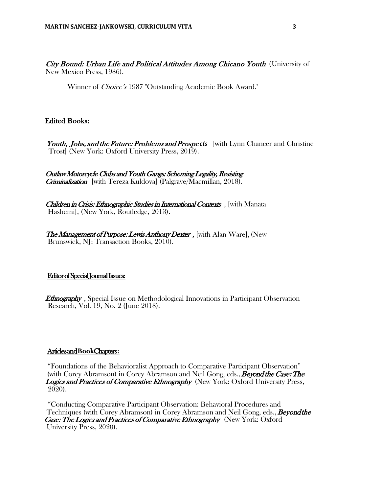City Bound: Urban Life and Political Attitudes Among Chicano Youth (University of New Mexico Press, 1986).

Winner of *Choice's* 1987 "Outstanding Academic Book Award."

## Edited Books:

Youth, *Jobs, and the Future: Problems and Prospects* [with Lynn Chancer and Christine Trost] (New York: Oxford University Press, 2019).

Outlaw Motorcycle Clubs and Youth Gangs: Scheming Legality, Resisting Criminalization [with Tereza Kuldova] (Palgrave/Macmillan, 2018).

Children in Crisis: Ethnographic Studies in International Contexts, with Manata Hashemi], (New York, Routledge, 2013).

The Management of Purpose: Lewis Anthony Dexter, with Alan Ware, (New Brunswick, NJ: Transaction Books, 2010).

## Editor of Special Journal Issues:

**Ethnography**, Special Issue on Methodological Innovations in Participant Observation Research, Vol. 19, No. 2 (June 2018).

#### Articles and**B ook** Chapters**:**

"Foundations of the Behavioralist Approach to Comparative Participant Observation" (with Corey Abramson) in Corey Abramson and Neil Gong, eds., **Beyond the Case: The** Logics and Practices of Comparative Ethnography (New York: Oxford University Press, 2020).

"Conducting Comparative Participant Observation: Behavioral Procedures and Techniques (with Corey Abramson) in Corey Abramson and Neil Gong, eds., **Beyond the** Case: The Logics and Practices of Comparative Ethnography (New York: Oxford University Press, 2020).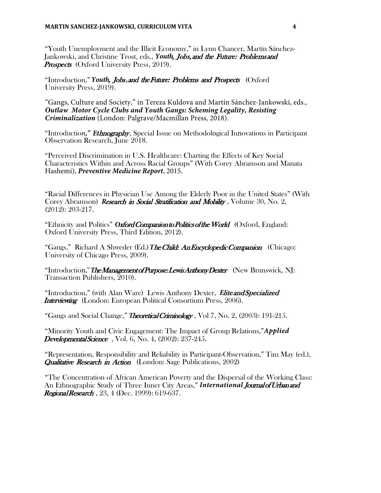"Youth Unemployment and the Illicit Economy," in Lynn Chancer, Martín Sánchez-Jankowski, and Christine Trost, eds., *Youth*, Jobs, and the Future: Problems and **Prospects** (Oxford University Press, 2019).

"Introduction," *Youth, Jobs, and the Future: Problems and Prospects* (Oxford University Press, 2019).

"Gangs, Culture and Society," in Tereza Kuldova and Martín Sánchez-Jankowski, eds., *Outlaw Motor Cycle Clubs and Youth Gangs: Scheming Legality, Resisting Criminalization* (London: Palgrave/Macmillan Press, 2018).

"Introductio*n ," Et*hnography , Special Issue on Methodological Innovations in Participant Observation Research, June 2018.

"Perceived Discrimination in U.S. Healthcare: Charting the Effects of Key Social Characteristics Within and Across Racial Groups" (With Corey Abramson and Manata Hashemi), *Preventive Medicine Report*, 2015.

"Racial Differences in Physician Use Among the Elderly Poor in the United States" (With Corey Abramson) *Research in Social Stratification and Mobility*, Volume 30, No. 2, (2012): 203-217.

"Ethnicity and Politics" *O*xford Companion to Politics of the World (Oxford, England: Oxford University Press, Third Edition, 2012).

"Gangs," Richard A Shweder (Ed.) The Child: An Encyclopedic Companion (Chicago: University of Chicago Press, 2009).

"Introduction," *The Management of Purpose: Lewis Anthony Dexter* (New Brunswick, NJ: Transaction Publishers, 2010).

"Introduction," (with Alan Ware) Lewis Anthony Dexter, *E*lite and Specialized **Interviewing** (London: European Political Consortium Press, 2006).

"Gangs and Social Change," *T*heoretical Criminology , Vol 7, No. 2, (2003): 191-215.

"Minority Youth and Civic Engagement: The Impact of Group Relations," *Applied* **Developmental Science**, Vol. 6, No. 4, (2002): 237-245.

"Representation, Responsibility and Reliability in Participant-Observation," Tim May (ed.), **Qualitative Research in Action** (London: Sage Publications, 2002)

"The Concentration of African American Poverty and the Dispersal of the Working Class: An Ethnographic Study of Three Inner City Areas," **International Journal of Urban and** Regional Research, 23, 4 (Dec. 1999): 619-637.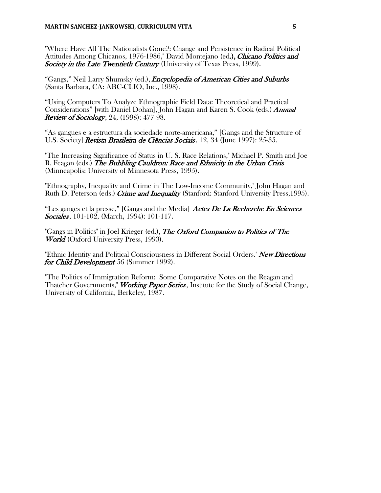"Where Have All The Nationalists Gone?: Change and Persistence in Radical Political Attitudes Among Chicanos, 1976-1986," David Montejano (ed.), Chicano Politics and Society in the Late Twentieth Century (University of Texas Press, 1999).

"Gangs," Neil Larry Shumsky (ed.), *Encyclopedia of American Cities and Suburbs* (Santa Barbara, CA: ABC-CLIO, Inc., 1998).

"Using Computers To Analyze Ethnographic Field Data: Theoretical and Practical Considerations" [with Daniel Dohan], John Hagan and Karen S. Cook (eds.) Annual **Review of Sociology**, 24, (1998): 477-98.

"As gangues e a estructura da sociedade norte-americana," [Gangs and the Structure of U.S. Society] Revista Brasileira de Ciências Sociais, 12, 34 (June 1997): 25-35.

"The Increasing Significance of Status in U. S. Race Relations," Michael P. Smith and Joe R. Feagan (eds.) The Bubbling Cauldron: Race and Ethnicity in the Urban Crisis (Minneapolis: University of Minnesota Press, 1995).

"Ethnography, Inequality and Crime in The Low-Income Community," John Hagan and Ruth D. Peterson (eds.) Crime and Inequality (Stanford: Stanford University Press, 1995).

"Les ganges et la presse," [Gangs and the Media] Actes De La Recherche En Sciences Sociales, 101-102, (March, 1994): 101-117.

"Gangs in Politics" in Joel Krieger (ed.), The Oxford Companion to Politics of The World (Oxford University Press, 1993).

"Ethnic Identity and Political Consciousness in Different Social Orders." New Directions for Child Development 56 (Summer 1992).

"The Politics of Immigration Reform: Some Comparative Notes on the Reagan and Thatcher Governments," *Working Paper Series*, Institute for the Study of Social Change, University of California, Berkeley, 1987.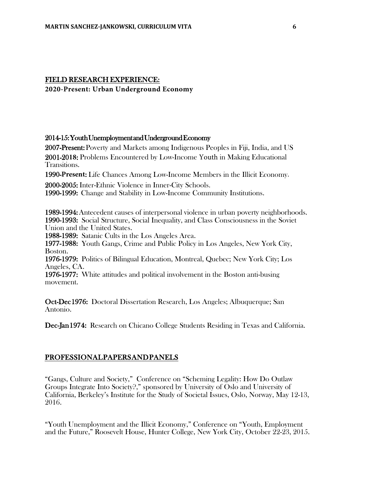## FIELD RESEARCH EXPERIENCE:

**2020-Present: Urban Underground Economy**

#### 2014-15: Youth Unemployment and Underground Economy

2007-Present: Poverty and Markets among Indigenous Peoples in Fiji, India, and US 2001-20**18**: Problems Encountered by Low-Income Youth in Making Educational Transitions.

1990-**Present**: Life Chances Among Low-Income Members in the Illicit Economy.

2000-2005: Inter-Ethnic Violence in Inner-City Schools.

1990-1999: Change and Stability in Low-Income Community Institutions.

1989-1994: Antecedent causes of interpersonal violence in urban poverty neighborhoods. 1990-1993: Social Structure, Social Inequality, and Class Consciousness in the Soviet Union and the United States.

1988-1989: Satanic Cults in the Los Angeles Area.

1977-1988: Youth Gangs, Crime and Public Policy in Los Angeles, New York City, Boston.

1976-1979: Politics of Bilingual Education, Montreal, Quebec; New York City; Los Angeles, CA.

1976-1977: White attitudes and political involvement in the Boston anti-busing movement.

Oct-Dec 1976: Doctoral Dissertation Research, Los Angeles; Albuquerque; San Antonio.

Dec-Jan 1974: Research on Chicano College Students Residing in Texas and California.

## PROFESSIONAL PAPERS AND PANELS

"Gangs, Culture and Society," Conference on "Scheming Legality: How Do Outlaw Groups Integrate Into Society?," sponsored by University of Oslo and University of California, Berkeley's Institute for the Study of Societal Issues, Oslo, Norway, May 12-13, 2016.

"Youth Unemployment and the Illicit Economy," Conference on "Youth, Employment and the Future," Roosevelt House, Hunter College, New York City, October 22-23, 2015.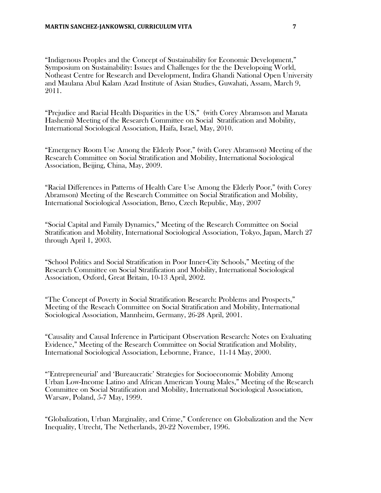"Indigenous Peoples and the Concept of Sustainability for Economic Development," Symposium on Sustainability: Issues and Challenges for the the Developoing World, Notheast Centre for Research and Development, Indira Ghandi National Open University and Maulana Abul Kalam Azad Institute of Asian Studies, Guwahati, Assam, March 9, 2011.

"Prejudice and Racial Health Disparities in the US," (with Corey Abramson and Manata Hashemi) Meeting of the Research Committee on Social Stratification and Mobility, International Sociological Association, Haifa, Israel, May, 2010.

"Emergency Room Use Among the Elderly Poor," (with Corey Abramson) Meeting of the Research Committee on Social Stratification and Mobility, International Sociological Association, Beijing, China, May, 2009.

"Racial Differences in Patterns of Health Care Use Among the Elderly Poor," (with Corey Abramson) Meeting of the Research Committee on Social Stratification and Mobility, International Sociological Association, Brno, Czech Republic, May, 2007

"Social Capital and Family Dynamics," Meeting of the Research Committee on Social Stratification and Mobility, International Sociological Association, Tokyo, Japan, March 27 through April 1, 2003.

"School Politics and Social Stratification in Poor Inner-City Schools," Meeting of the Research Committee on Social Stratification and Mobility, International Sociological Association, Oxford, Great Britain, 10-13 April, 2002.

"The Concept of Poverty in Social Stratification Research: Problems and Prospects," Meeting of the Reseach Committee on Social Stratification and Mobility, International Sociological Association, Mannheim, Germany, 26-28 April, 2001.

"Causality and Causal Inference in Participant Observation Research: Notes on Evaluating Evidence," Meeting of the Research Committee on Social Stratification and Mobility, International Sociological Association, Lebornne, France, 11-14 May, 2000.

"'Entrepreneurial' and 'Bureaucratic' Strategies for Socioeconomic Mobility Among Urban Low-Income Latino and African American Young Males," Meeting of the Research Committee on Social Stratification and Mobility, International Sociological Association, Warsaw, Poland, 5-7 May, 1999.

"Globalization, Urban Marginality, and Crime," Conference on Globalization and the New Inequality, Utrecht, The Netherlands, 20-22 November, 1996.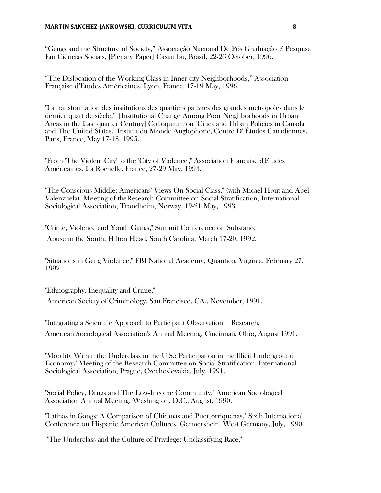#### **MARTIN SANCHEZ-JANKOWSKI, CURRICULUM VITA**  $\begin{array}{c} 8 \end{array}$

"Gangs and the Structure of Society," Associaçâo Nacional De Pós Graduaçâo E Pesquisa Em Ciências Sociais, [Plenary Paper] Caxambu, Brasil, 22-26 October, 1996.

"The Dislocation of the Working Class in Inner-city Neighborhoods," Association Française d'Etudes Américaines, Lyon, France, 17-19 May, 1996.

"La transformation des institutions des quartiers pauvres des grandes métropoles dans le dernier quart de siècle," [Institutional Change Among Poor Neighborhoods in Urban Areas in the Last quarter Century] Colloquium on "Cities and Urban Policies in Canada and The United States," Institut du Monde Anglophone, Centre D' Études Canadiennes, Paris, France, May 17-18, 1995.

"From 'The Violent City' to the 'City of Violence'," Association Française d'Etudes Américaines, La Rochelle, France, 27-29 May, 1994.

"The Conscious Middle: Americans' Views On Social Class," (with Micael Hout and Abel Valenzuela), Meeting of theResearch Committee on Social Stratification, International Sociological Association, Trondheim, Norway, 19-21 May, 1993.

"Crime, Violence and Youth Gangs," Summit Conference on Substance Abuse in the South, Hilton Head, South Carolina, March 17-20, 1992.

"Situations in Gang Violence," FBI National Academy, Quantico, Virginia, February 27, 1992.

"Ethnography, Inequality and Crime,"

American Society of Criminology, San Francisco, CA., November, 1991.

"Integrating a Scientific Approach to Participant Observation Research," American Sociological Association's Annual Meeting, Cincinnati, Ohio, August 1991.

"Mobility Within the Underclass in the U.S.: Participation in the Illicit Underground Economy," Meeting of the Research Committee on Social Stratification, International Sociological Association, Prague, Czechoslovakia, July, 1991.

"Social Policy, Drugs and The Low-Income Community." American Sociological Association Annual Meeting, Washington, D.C., August, 1990.

"Latinas in Gangs: A Comparison of Chicanas and Puertorriquenas," Sixth International Conference on Hispanic American Cultures, Germershein, West Germany, July, 1990.

"The Underclass and the Culture of Privilege: Unclassifying Race,"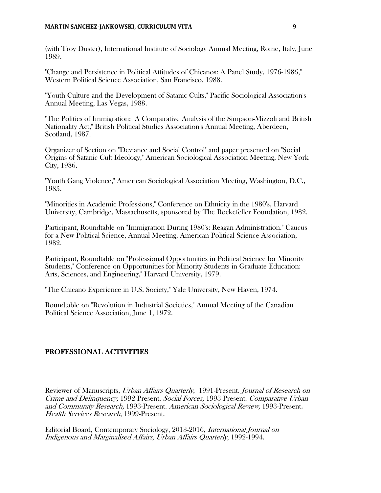(with Troy Duster), International Institute of Sociology Annual Meeting, Rome, Italy, June 1989.

"Change and Persistence in Political Attitudes of Chicanos: A Panel Study, 1976-1986," Western Political Science Association, San Francisco, 1988.

"Youth Culture and the Development of Satanic Cults," Pacific Sociological Association's Annual Meeting, Las Vegas, 1988.

"The Politics of Immigration: A Comparative Analysis of the Simpson-Mizzoli and British Nationality Act," British Political Studies Association's Annual Meeting, Aberdeen, Scotland, 1987.

Organizer of Section on "Deviance and Social Control" and paper presented on "Social Origins of Satanic Cult Ideology," American Sociological Association Meeting, New York City, 1986.

"Youth Gang Violence," American Sociological Association Meeting, Washington, D.C., 1985.

"Minorities in Academic Professions," Conference on Ethnicity in the 1980's, Harvard University, Cambridge, Massachusetts, sponsored by The Rockefeller Foundation, 1982.

Participant, Roundtable on "Immigration During 1980's: Reagan Administration." Caucus for a New Political Science, Annual Meeting, American Political Science Association, 1982.

Participant, Roundtable on "Professional Opportunities in Political Science for Minority Students," Conference on Opportunities for Minority Students in Graduate Education: Arts, Sciences, and Engineering," Harvard University, 1979.

"The Chicano Experience in U.S. Society," Yale University, New Haven, 1974.

Roundtable on "Revolution in Industrial Societies," Annual Meeting of the Canadian Political Science Association, June 1, 1972.

## PROFESSIONAL ACTIVITIES

Reviewer of Manuscripts, Urban Affairs Quarterly, 1991-Present. Journal of Research on Crime and Delinquency, 1992-Present. Social Forces, 1993-Present. Comparative Urban and Community Research, 1993-Present. American Sociological Review, 1993-Present. Health Services Research, 1999-Present.

Editorial Board, Contemporary Sociology, 2013-2016, International Journal on Indigenous and Marginalised Affairs, Urban Affairs Quarterly, 1992-1994.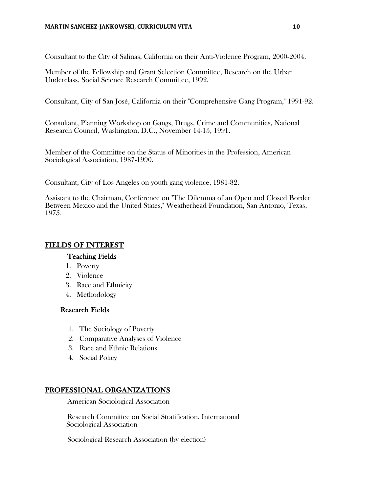Consultant to the City of Salinas, California on their Anti-Violence Program, 2000-2004.

Member of the Fellowship and Grant Selection Committee, Research on the Urban Underclass, Social Science Research Committee, 1992.

Consultant, City of San José, California on their "Comprehensive Gang Program," 1991-92.

Consultant, Planning Workshop on Gangs, Drugs, Crime and Communities, National Research Council, Washington, D.C., November 14-15, 1991.

Member of the Committee on the Status of Minorities in the Profession, American Sociological Association, 1987-1990.

Consultant, City of Los Angeles on youth gang violence, 1981-82.

Assistant to the Chairman, Conference on "The Dilemma of an Open and Closed Border Between Mexico and the United States," Weatherhead Foundation, San Antonio, Texas, 1975.

## FIELDS OF INTEREST

## Teaching Fields

- 1. Poverty
- 2. Violence
- 3. Race and Ethnicity
- 4. Methodology

## Research Fields

- 1. The Sociology of Poverty
- 2. Comparative Analyses of Violence
- 3. Race and Ethnic Relations
- 4. Social Policy

## PROFESSIONAL ORGANIZATIONS

American Sociological Association

Research Committee on Social Stratification, International Sociological Association

Sociological Research Association (by election)